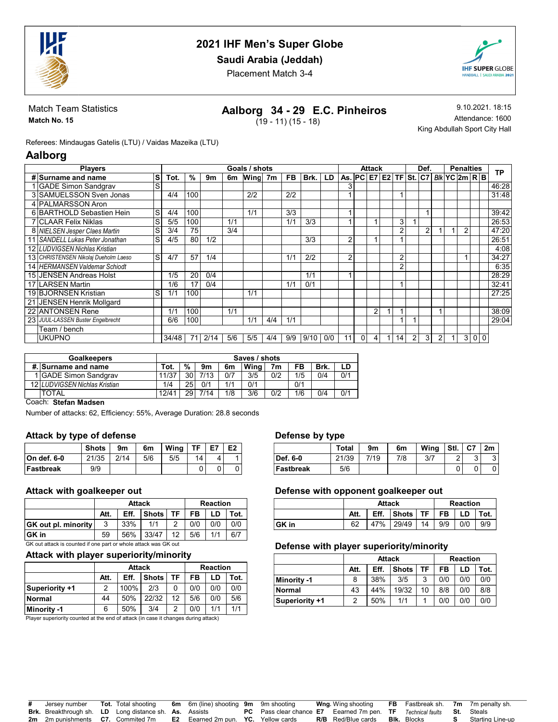

Saudi Arabia (Jeddah)

Placement Match 3-4



Match Team Statistics Match No. 15

## Aalborg 34 - 29 E.C. Pinheiros

 $(19 - 11) (15 - 18)$ 

9.10.2021. 18:15 Attendance: 1600 King Abdullah Sport City Hall

Referees: Mindaugas Gatelis (LTU) / Vaidas Mazeika (LTU)

## Aalborg

| <b>Players</b>                       |    |       |     |      |     | Goals / shots |     |           |      |     |                                    |          | <b>Attack</b> |                |   | Def. |   |                 | <b>Penalties</b> |                |           |
|--------------------------------------|----|-------|-----|------|-----|---------------|-----|-----------|------|-----|------------------------------------|----------|---------------|----------------|---|------|---|-----------------|------------------|----------------|-----------|
| # Surname and name                   | ۱S | Tot.  | %   | 9m   | 6m  | <b>Wing</b>   | 7m  | <b>FB</b> | Brk. | LD  | As.   PC   E7   E2   TF   St.   C7 |          |               |                |   |      |   | $B/k$ YC 2m R B |                  |                | <b>TP</b> |
| <b>GADE Simon Sandgrav</b>           | S  |       |     |      |     |               |     |           |      |     |                                    |          |               |                |   |      |   |                 |                  |                | 46:28     |
| 3 SAMUELSSON Sven Jonas              |    | 4/4   | 100 |      |     | 212           |     | 2/2       |      |     |                                    |          |               |                |   |      |   |                 |                  |                | 31:48     |
| 4 PALMARSSON Aron                    |    |       |     |      |     |               |     |           |      |     |                                    |          |               |                |   |      |   |                 |                  |                |           |
| 6 BARTHOLD Sebastien Hein            | lS | 4/4   | 100 |      |     | 1/1           |     | 3/3       |      |     |                                    |          |               |                |   |      |   |                 |                  |                | 39:42     |
| <b>7 CLAAR Felix Niklas</b>          | S  | 5/5   | 100 |      | 1/1 |               |     | 1/1       | 3/3  |     |                                    |          |               | 3              |   |      |   |                 |                  |                | 26:53     |
| 8 NIELSEN Jesper Claes Martin        | S  | 3/4   | 75  |      | 3/4 |               |     |           |      |     |                                    |          |               | $\overline{2}$ |   | 2    |   |                 | 2                |                | 47:20     |
| 11 SANDELL Lukas Peter Jonathan      | S  | 4/5   | 80  | 1/2  |     |               |     |           | 3/3  |     | ◠                                  |          |               |                |   |      |   |                 |                  |                | 26:51     |
| 12 LUDVIGSEN Nichlas Kristian        |    |       |     |      |     |               |     |           |      |     |                                    |          |               |                |   |      |   |                 |                  |                | 4:08      |
| 13 CHRISTENSEN Nikolaj Dueholm Laeso | S  | 4/7   | 57  | 1/4  |     |               |     | 1/1       | 2/2  |     | ົ                                  |          |               | 2              |   |      |   |                 |                  |                | 34:27     |
| 14 HERMANSEN Valdemar Schiodt        |    |       |     |      |     |               |     |           |      |     |                                    |          |               | $\overline{2}$ |   |      |   |                 |                  |                | 6:35      |
| 15 JENSEN Andreas Holst              |    | 1/5   | 20  | 0/4  |     |               |     |           | 1/1  |     |                                    |          |               |                |   |      |   |                 |                  |                | 28:29     |
| 17 LARSEN Martin                     |    | 1/6   | 17  | 0/4  |     |               |     | 1/1       | 0/1  |     |                                    |          |               |                |   |      |   |                 |                  |                | 32:41     |
| 19 BJORNSEN Kristian                 | S  | 1/1   | 100 |      |     | 1/1           |     |           |      |     |                                    |          |               |                |   |      |   |                 |                  |                | 27:25     |
| 21 JENSEN Henrik Mollgard            |    |       |     |      |     |               |     |           |      |     |                                    |          |               |                |   |      |   |                 |                  |                |           |
| 22 ANTONSEN Rene                     |    | 1/1   | 100 |      | 1/1 |               |     |           |      |     |                                    |          | 2             |                |   |      |   |                 |                  |                | 38:09     |
| 23 JUUL-LASSEN Buster Engelbrecht    |    | 6/6   | 100 |      |     | 1/1           | 4/4 | 1/1       |      |     |                                    |          |               |                |   |      |   |                 |                  |                | 29:04     |
| Team / bench                         |    |       |     |      |     |               |     |           |      |     |                                    |          |               |                |   |      |   |                 |                  |                |           |
| <b>UKUPNO</b>                        |    | 34/48 | 71  | 2/14 | 5/6 | 5/5           | 4/4 | 9/9       | 9/10 | 0/0 | 11                                 | $\Omega$ | 4             | 14             | 2 | 3    | 2 |                 | 3                | 0 <sub>0</sub> |           |

| <b>Goalkeepers</b>            | Saves / shots |     |      |     |      |                |     |      |     |  |  |  |
|-------------------------------|---------------|-----|------|-----|------|----------------|-----|------|-----|--|--|--|
| #. Surname and name           | Tot.          | %   | 9m   | 6m  | Wina | 7 <sub>m</sub> | FB  | Brk. | LD  |  |  |  |
| 1 GADE Simon Sandgrav         | 11/37         | 30  | 7/13 | 0/7 | 3/5  | 0/2            | 1/5 | 0/4  | 0/1 |  |  |  |
| 12 LUDVIGSEN Nichlas Kristian | 1/4           | 25  | 0/1  | 1/1 | 0/1  |                | 0/1 |      |     |  |  |  |
| <b>TOTAL</b>                  | 12/41         | 291 | 7/14 | 1/8 | 3/6  | 0/2            | 1/6 | 0/4  | 0/1 |  |  |  |

#### Coach: Stefan Madsen

Number of attacks: 62, Efficiency: 55%, Average Duration: 28.8 seconds

#### Attack by type of defense

|              | <b>Shots</b> | 9m   | 6m  | Wina | TF. | E7 | E <sub>2</sub> |
|--------------|--------------|------|-----|------|-----|----|----------------|
| ∣On def. 6-0 | 21/35        | 2/14 | 5/6 | 5/5  | 14  | 4  |                |
| ∣Fastbreak   | 9/9          |      |     |      |     |    |                |

### Attack with goalkeeper out

|                                                                      |      | <b>Attack</b> |          | <b>Reaction</b> |           |     |      |  |  |  |
|----------------------------------------------------------------------|------|---------------|----------|-----------------|-----------|-----|------|--|--|--|
|                                                                      | Att. | Eff.          | Shots TF |                 | <b>FB</b> | LD  | Tot. |  |  |  |
| <b>GK</b> out pl. minority <b>D</b>                                  | 3    | 33%           | 1/1      | ົ               | 0/0       | 0/0 | 0/0  |  |  |  |
| 33/47<br>∣GK in<br>12 <sup>°</sup><br>1/1<br>6/7<br>56%<br>5/6<br>59 |      |               |          |                 |           |     |      |  |  |  |
| GK out attack is counted if one part or whole attack was GK out      |      |               |          |                 |           |     |      |  |  |  |

### Attack with player superiority/minority

|                |      | <b>Attack</b> | <b>Reaction</b> |    |      |     |     |
|----------------|------|---------------|-----------------|----|------|-----|-----|
|                | Att. | Eff.          | FB              | LD | Tot. |     |     |
| Superiority +1 |      | 100%          | 2/3             | 0  | 0/0  | 0/0 | 0/0 |
| <b>Normal</b>  | 44   | 50%           | 22/32           | 12 | 5/6  | 0/0 | 5/6 |
| Minority -1    | 6    | 50%           | 3/4             | 2  | 0/0  | 1/1 | 1/1 |

Player superiority counted at the end of attack (in case it changes during attack)

#### Defense by type

|           | - -   |      |     |      |      |        |        |
|-----------|-------|------|-----|------|------|--------|--------|
|           | Total | 9m   | 6m  | Wing | Stl. | . I C7 | 2m     |
| Def. 6-0  | 21/39 | 7/19 | 7/8 | 3/7  | ົ    | ີ<br>ີ | ົ<br>ື |
| Fastbreak | 5/6   |      |     |      |      |        |        |

#### Defense with opponent goalkeeper out

|        |      | <b>Attack</b> | <b>Reaction</b>                         |  |  |     |      |
|--------|------|---------------|-----------------------------------------|--|--|-----|------|
|        | Att. |               | Eff. $ $ Shots $ $ TF $ $ FB $ $ LD $ $ |  |  |     | Tot. |
| ∣GK in | 62   |               | 47% 29/49 14 9/9                        |  |  | 0/0 | 9/9  |

#### Defense with player superiority/minority

|                |      | <b>Attack</b> | <b>Reaction</b> |    |     |      |     |
|----------------|------|---------------|-----------------|----|-----|------|-----|
|                | Att. | Eff.          | <b>Shots</b>    | FB | LD  | Tot. |     |
| Minority -1    | 8    | 38%           | 3/5             | 3  | 0/0 | 0/0  | 0/0 |
| Normal         | 43   | 44%           | 19/32           | 10 | 8/8 | 0/0  | 8/8 |
| Superiority +1 | 2    | 50%           | 1/1             |    | 0/0 | 0/0  | 0/0 |

| # Jersev number                                               | <b>Tot.</b> Total shooting | <b>6m</b> 6m (line) shooting <b>9m</b> 9m shooting                                                |                                                                               | <b>Wng</b> Wing shooting  |                    | <b>FB</b> Fastbreak sh. 7m 7m penalty sh. |
|---------------------------------------------------------------|----------------------------|---------------------------------------------------------------------------------------------------|-------------------------------------------------------------------------------|---------------------------|--------------------|-------------------------------------------|
| <b>Brk.</b> Breakthrough sh. LD Long distance sh. As. Assists |                            |                                                                                                   | <b>PC</b> Pass clear chance E7 Eearned 7m pen. TF Technical faults St. Steals |                           |                    |                                           |
|                                                               |                            | <b>2m</b> 2m punishments <b>C7.</b> Commited 7m <b>E2</b> Eearned 2m pun. <b>YC.</b> Yellow cards |                                                                               | <b>R/B</b> Red/Blue cards | <b>Blk.</b> Blocks | Starting Line-up                          |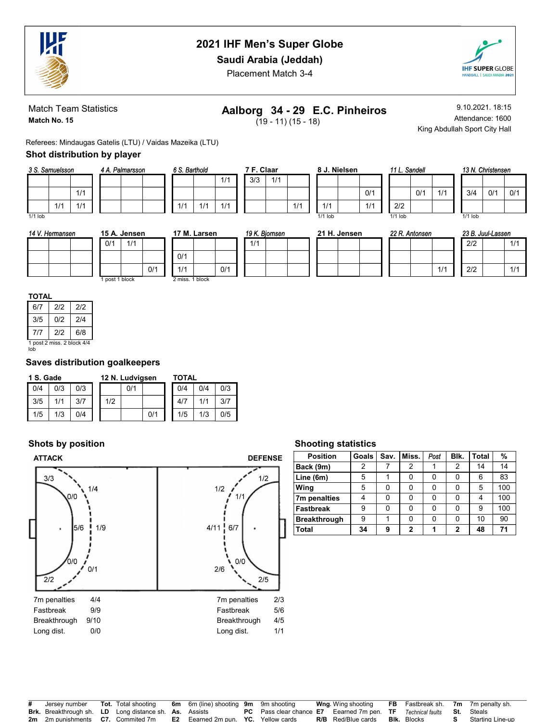

## Saudi Arabia (Jeddah)

Placement Match 3-4



Match Team Statistics Match No. 15

# Aalborg 34 - 29 E.C. Pinheiros

 $(19 - 11) (15 - 18)$ 

1/1

9.10.2021. 18:15 Attendance: 1600 King Abdullah Sport City Hall

 $1/1$ 

Referees: Mindaugas Gatelis (LTU) / Vaidas Mazeika (LTU)

### Shot distribution by player

| 3 S. Samuelsson |     |     |  | 4 A. Palmarsson |  |  |  |  |  |  |
|-----------------|-----|-----|--|-----------------|--|--|--|--|--|--|
|                 |     |     |  |                 |  |  |  |  |  |  |
|                 |     | 1/1 |  |                 |  |  |  |  |  |  |
|                 | 1/1 | 1/1 |  |                 |  |  |  |  |  |  |
| $1/1$ lob       |     |     |  |                 |  |  |  |  |  |  |

| S. Barthold |     |     | 7 F. Claar |     |
|-------------|-----|-----|------------|-----|
|             |     | 1/1 | 3/3        | 1/1 |
|             |     |     |            |     |
| 1/1         | 1/1 | 1/1 |            |     |

| 8 J. Nielsen |           |  |     |  |  |  |  |  |  |
|--------------|-----------|--|-----|--|--|--|--|--|--|
|              |           |  |     |  |  |  |  |  |  |
|              |           |  | 0/1 |  |  |  |  |  |  |
|              | 1/1       |  | 1/1 |  |  |  |  |  |  |
|              | $1/1$ lob |  |     |  |  |  |  |  |  |

|  | 11 L. Sandell |     |
|--|---------------|-----|
|  |               |     |
|  |               | 0/1 |
|  | 2/2           |     |
|  | $1/1$ lob     |     |

| 13 N. Christensen |     |     |  |  |  |  |  |  |  |  |  |
|-------------------|-----|-----|--|--|--|--|--|--|--|--|--|
|                   |     |     |  |  |  |  |  |  |  |  |  |
| 3/4               | 0/1 | 0/1 |  |  |  |  |  |  |  |  |  |
|                   |     |     |  |  |  |  |  |  |  |  |  |
| $1/1$ lob         |     |     |  |  |  |  |  |  |  |  |  |

| 14 V.<br>. Hermansen | 15 A. Jensen   | 17 M. Larsen    | 19 K. Biomsen | 21 H. Jensen | 22 R. Antonsen | 23 B. Juul-Lassen |
|----------------------|----------------|-----------------|---------------|--------------|----------------|-------------------|
|                      | 1/1<br>0/1     |                 | 1/1           |              |                | 2/2<br>1/1        |
|                      |                | 0/1             |               |              |                |                   |
|                      | 0/1            | 0/1<br>1/1      |               |              | 1/1            | 2/2<br>1/1        |
|                      | I post 1 block | 2 miss. 1 block |               |              |                |                   |

 $1/1$ 

6/7 2/2 2/2 3/5 0/2 2/4 7/7 2/2 6/8 1 post 2 miss. 2 block 4/4 lob

### Saves distribution goalkeepers

|     | 1 S. Gade |     |  |     | 12 N. Ludvigsen |     | TOTAL |     |     |  |  |
|-----|-----------|-----|--|-----|-----------------|-----|-------|-----|-----|--|--|
| 0/4 | 0/3       | 0/3 |  |     | 0/1             |     | 0/4   | 0/4 | 0/3 |  |  |
| 3/5 | 1/1       | 3/7 |  | 1/2 |                 |     | 4/7   |     | 3/7 |  |  |
| 1/5 | 1/3       | 0/4 |  |     |                 | 0/1 | 1/5   | 1/3 | 0/5 |  |  |

## Shots by position



### Shooting statistics

| <b>Position</b>     | <b>Goals</b> | Sav. | Miss.        | Post | Blk. | <b>Total</b> | %   |
|---------------------|--------------|------|--------------|------|------|--------------|-----|
| Back (9m)           | 2            |      | 2            |      | 2    | 14           | 14  |
| Line (6m)           | 5            |      | 0            | U    |      | 6            | 83  |
| Wing                | 5            | 0    | 0            | ŋ    |      | 5            | 100 |
| 7m penalties        | 4            | 0    | 0            | ŋ    |      | 4            | 100 |
| <b>Fastbreak</b>    | 9            | 0    | 0            | ŋ    |      | 9            | 100 |
| <b>Breakthrough</b> | 9            |      | 0            | ŋ    |      | 10           | 90  |
| <b>Total</b>        | 34           | 9    | $\mathbf{2}$ |      | 2    | 48           | 71  |

| # Jersey number                                               | <b>Tot.</b> Total shooting | <b>6m</b> 6m (line) shooting <b>9m</b> 9m shooting |                                                                                                    | <b>Wng</b> Wing shooting  |                    | <b>FB</b> Fastbreak sh. 7m 7m penalty sh. |
|---------------------------------------------------------------|----------------------------|----------------------------------------------------|----------------------------------------------------------------------------------------------------|---------------------------|--------------------|-------------------------------------------|
| <b>Brk.</b> Breakthrough sh. LD Long distance sh. As. Assists |                            |                                                    | <b>PC</b> Pass clear chance <b>E7</b> Eearned 7m pen. <b>TF</b> Technical faults <b>St.</b> Steals |                           |                    |                                           |
| 2m 2m punishments C7. Commited 7m                             |                            | <b>E2</b> Eearned 2m pun. YC. Yellow cards         |                                                                                                    | <b>R/B</b> Red/Blue cards | <b>Blk.</b> Blocks | <b>S</b> Starting Line-up                 |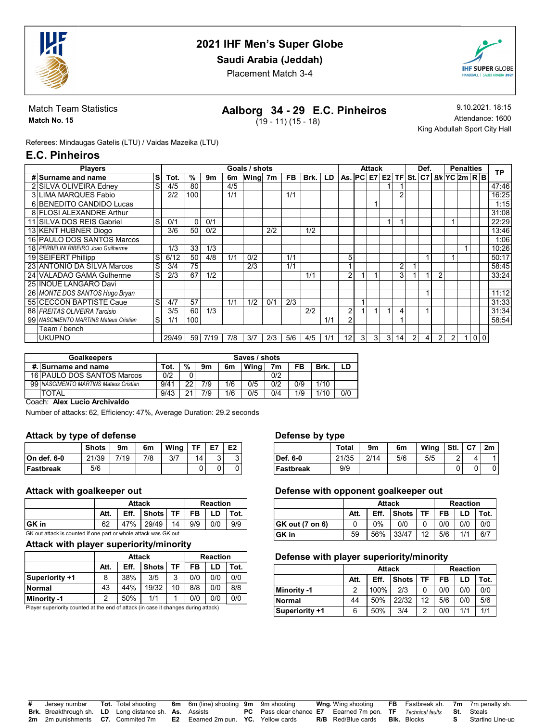

## Saudi Arabia (Jeddah)

Placement Match 3-4



Match Team Statistics Match No. 15

## Aalborg 34 - 29 E.C. Pinheiros

 $(19 - 11) (15 - 18)$ 

9.10.2021. 18:15 Attendance: 1600 King Abdullah Sport City Hall

Referees: Mindaugas Gatelis (LTU) / Vaidas Mazeika (LTU)

## E.C. Pinheiros

| <b>Players</b>                        |    |       |     |      |     | Goals / shots |     |           |      |      |                                            |                | Attack       |                |                |                | Def. |   |   | <b>Penalties</b> |          |           |
|---------------------------------------|----|-------|-----|------|-----|---------------|-----|-----------|------|------|--------------------------------------------|----------------|--------------|----------------|----------------|----------------|------|---|---|------------------|----------|-----------|
| ls<br># Surname and name              |    | Tot.  | %   | 9m   | 6m  | Wing 7m       |     | <b>FB</b> | Brk. | LD I | As. $PC$ E7 E2 TF St. $C7$ Blk $YC$ 2m R B |                |              |                |                |                |      |   |   |                  |          | <b>TP</b> |
| 2 SILVA OLIVEIRA Edney                | S  | 4/5   | 80  |      | 4/5 |               |     |           |      |      |                                            |                |              |                |                |                |      |   |   |                  |          | 47:46     |
| 3 LIMA MARQUES Fabio                  |    | 2/2   | 100 |      | 1/1 |               |     | 1/1       |      |      |                                            |                |              |                | 2              |                |      |   |   |                  |          | 16:25     |
| 6 BENEDITO CANDIDO Lucas              |    |       |     |      |     |               |     |           |      |      |                                            |                |              |                |                |                |      |   |   |                  |          | 1:15      |
| 8 FLOSI ALEXANDRE Arthur              |    |       |     |      |     |               |     |           |      |      |                                            |                |              |                |                |                |      |   |   |                  |          | 31:08     |
| 11 SILVA DOS REIS Gabriel             | S  | 0/1   | 0   | 0/1  |     |               |     |           |      |      |                                            |                |              |                |                |                |      |   |   |                  |          | 22:29     |
| 13 KENT HUBNER Diogo                  |    | 3/6   | 50  | 0/2  |     |               | 2/2 |           | 1/2  |      |                                            |                |              |                |                |                |      |   |   |                  |          | 13:46     |
| 16 PAULO DOS SANTOS Marcos            |    |       |     |      |     |               |     |           |      |      |                                            |                |              |                |                |                |      |   |   |                  |          | 1:06      |
| 18 PERBELINI RIBEIRO Joao Guilherme   |    | 1/3   | 33  | 1/3  |     |               |     |           |      |      |                                            |                |              |                |                |                |      |   |   |                  |          | 10:26     |
| 19 SEIFERT Phillipp                   | ls | 6/12  | 50  | 4/8  | 1/1 | 0/2           |     | 1/1       |      |      | 5                                          |                |              |                |                |                |      |   |   |                  |          | 50:17     |
| G<br>23 ANTONIO DA SILVA Marcos       |    | 3/4   | 75  |      |     | 2/3           |     | 1/1       |      |      |                                            |                |              |                | $\overline{2}$ |                |      |   |   |                  |          | 58:45     |
| 24 VALADAO GAMA Gulherme              | ls | 2/3   | 67  | 1/2  |     |               |     |           | 1/1  |      | ົ                                          |                |              |                | 3              |                |      | 2 |   |                  |          | 33:24     |
| 25 INOUE LANGARO Davi                 |    |       |     |      |     |               |     |           |      |      |                                            |                |              |                |                |                |      |   |   |                  |          |           |
| 26 MONTE DOS SANTOS Hugo Bryan        |    |       |     |      |     |               |     |           |      |      |                                            |                |              |                |                |                |      |   |   |                  |          | 11:12     |
| 55 CECCON BAPTISTE Caue               | S  | 4/7   | 57  |      | 1/1 | 1/2           | 0/1 | 2/3       |      |      |                                            |                |              |                |                |                |      |   |   |                  |          | 31:33     |
| 88 FREITAS OLIVEIRA Tarcisio          |    | 3/5   | 60  | 1/3  |     |               |     |           | 2/2  |      | ົ                                          |                |              |                |                |                |      |   |   |                  |          | 31:34     |
| 99 NASCIMENTO MARTINS Mateus Cristian | lS | 1/1   | 100 |      |     |               |     |           |      | 1/1  | ົ                                          |                |              |                |                |                |      |   |   |                  |          | 58:54     |
| Team / bench                          |    |       |     |      |     |               |     |           |      |      |                                            |                |              |                |                |                |      |   |   |                  |          |           |
| UKUPNO                                |    | 29/49 | 59  | 7/19 | 7/8 | 3/7           | 2/3 | 5/6       | 4/5  | 1/1  | 12                                         | $\overline{3}$ | $\mathbf{3}$ | $\overline{3}$ | 14             | $\overline{2}$ | 4    | 2 | 2 |                  | $\Omega$ |           |

| <b>Goalkeepers</b>                      | Saves / shots |    |     |     |      |     |     |      |     |  |  |
|-----------------------------------------|---------------|----|-----|-----|------|-----|-----|------|-----|--|--|
| #. Surname and name                     | Tot.          | %  | 9m  | 6m  | Wina | 7m  | FB  | Brk. | LD  |  |  |
| 16 PAULO DOS SANTOS Marcos              | 0/2           |    |     |     |      | 0/2 |     |      |     |  |  |
| 99   NASCIMENTO MARTINS Mateus Cristian | 9/41          | nr | 7/9 | 1/6 | 0/5  | 0/2 | 0/9 | 1/10 |     |  |  |
| <b>TOTAL</b>                            | 9/43          | n, | 7/9 | 1/6 | 0/5  | 0/4 | 1/9 | 1/10 | 0/0 |  |  |

Coach: Alex Lucio Archivaldo

Number of attacks: 62, Efficiency: 47%, Average Duration: 29.2 seconds

#### Attack by type of defense

|              | <b>Shots</b> | 9m   | 6m  | Wina | ТE | E7 | E <sub>2</sub> |
|--------------|--------------|------|-----|------|----|----|----------------|
| ∣On def. 6-0 | 21/39        | 7/19 | 7/8 | 3/7  | 14 | c  | ◡              |
| Fastbreak    | 5/6          |      |     |      |    |    |                |

### Attack with goalkeeper out

|        |      | <b>Attack</b> |                                              | <b>Reaction</b> |  |  |  |
|--------|------|---------------|----------------------------------------------|-----------------|--|--|--|
|        | Att. |               | Eff. $ $ Shots $ $ TF $ $ FB $ $ LD $ $ Tot. |                 |  |  |  |
| ∣GK in |      |               | 47% 29/49 14 9/9 0/0 9/9                     |                 |  |  |  |

GK out attack is counted if one part or whole attack was GK out

#### Attack with player superiority/minority

|                       |      | <b>Attack</b> |              |    | <b>Reaction</b> |     |      |  |  |  |
|-----------------------|------|---------------|--------------|----|-----------------|-----|------|--|--|--|
|                       | Att. | Eff.          | <b>Shots</b> | TF | FB              | LD  | Tot. |  |  |  |
| <b>Superiority +1</b> | 8    | 38%           | 3/5          | 2  | 0/0             | 0/0 | 0/0  |  |  |  |
| <b>Normal</b>         | 43   | 44%           | 19/32        | 10 | 8/8             | 0/0 | 8/8  |  |  |  |
| Minority -1           |      | 50%           | 1/1          |    | 0/0             | 0/0 | 0/0  |  |  |  |

Player superiority counted at the end of attack (in case it changes during attack)

#### Defense by type

|           | Total | 9m   | 6m  | Wing | Stl. | $ $ C7 | 2m |
|-----------|-------|------|-----|------|------|--------|----|
| Def. 6-0  | 21/35 | 2/14 | 5/6 | 5/5  | ົ    |        |    |
| Fastbreak | 9/9   |      |     |      |      |        |    |

#### Defense with opponent goalkeeper out

|                 |      | <b>Attack</b> | <b>Reaction</b> |    |     |     |      |  |
|-----------------|------|---------------|-----------------|----|-----|-----|------|--|
|                 | Att. | Eff.          | <b>Shots</b>    | TF | FB  | LD  | Tot. |  |
| GK out (7 on 6) |      | $0\%$         | 0/0             |    | 0/0 | 0/0 | 0/0  |  |
| GK in           | 59   | 56%           | 33/47           | 12 | 5/6 | 1/1 | 6/7  |  |

#### Defense with player superiority/minority

|                       |      | <b>Attack</b> | <b>Reaction</b> |    |      |     |     |
|-----------------------|------|---------------|-----------------|----|------|-----|-----|
|                       | Att. | Eff.          | FB              | LD | Tot. |     |     |
| Minority -1           | 2    | 100%          | 2/3             |    | 0/0  | 0/0 | 0/0 |
| Normal                | 44   | 50%           | 22/32           | 12 | 5/6  | 0/0 | 5/6 |
| <b>Superiority +1</b> | 6    | 50%           | 3/4             |    | 0/0  | 1/1 | 1/1 |

| # Jersey number                                               | <b>Tot.</b> Total shooting | <b>6m</b> 6m (line) shooting <b>9m</b> 9m shooting |                                                                                                    | <b>Wng</b> Wing shooting  |                    | <b>FB</b> Fastbreak sh. 7m 7m penalty sh. |
|---------------------------------------------------------------|----------------------------|----------------------------------------------------|----------------------------------------------------------------------------------------------------|---------------------------|--------------------|-------------------------------------------|
| <b>Brk.</b> Breakthrough sh. LD Long distance sh. As. Assists |                            |                                                    | <b>PC</b> Pass clear chance <b>E7</b> Eearned 7m pen. <b>TF</b> Technical faults <b>St.</b> Steals |                           |                    |                                           |
| <b>2m</b> 2m punishments <b>C7.</b> Commited 7m               |                            | <b>E2</b> Eearned 2m pun. YC. Yellow cards         |                                                                                                    | <b>R/B</b> Red/Blue cards | <b>Bik.</b> Blocks | Starting Line-up                          |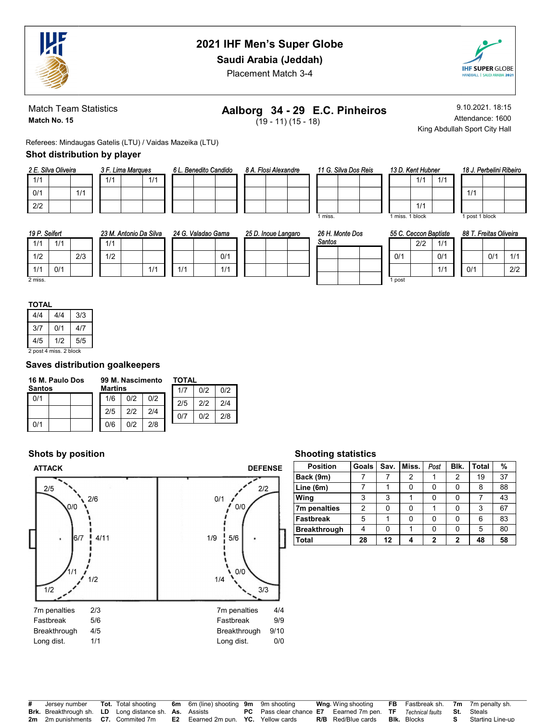

## Saudi Arabia (Jeddah)

Placement Match 3-4



Match Team Statistics Match No. 15

# Aalborg 34 - 29 E.C. Pinheiros

 $(19 - 11) (15 - 18)$ 

9.10.2021. 18:15 Attendance: 1600 King Abdullah Sport City Hall

 $1/1$ 

Referees: Mindaugas Gatelis (LTU) / Vaidas Mazeika (LTU)

### Shot distribution by player

|     | 2 E. Silva Oliveira |     |     | 3 F. Lima Marques |     |
|-----|---------------------|-----|-----|-------------------|-----|
| 1/1 |                     |     | 1/1 |                   | 1/1 |
| 0/1 |                     | 1/1 |     |                   |     |
| 2/2 |                     |     |     |                   |     |

| 6 L. Benedito Candido |  | 8 A. Flosi Alexandre |  |
|-----------------------|--|----------------------|--|
|                       |  |                      |  |
|                       |  |                      |  |
|                       |  |                      |  |

| 11 G. Silva Dos Reis |  |  |  |  |  |  |  |  |
|----------------------|--|--|--|--|--|--|--|--|
|                      |  |  |  |  |  |  |  |  |
|                      |  |  |  |  |  |  |  |  |
|                      |  |  |  |  |  |  |  |  |
| miss.                |  |  |  |  |  |  |  |  |

|  |                 | 13 D. Kent Hubner |  |
|--|-----------------|-------------------|--|
|  |                 | 1/1               |  |
|  |                 |                   |  |
|  |                 | 1/1               |  |
|  | 1 miss. 1 block |                   |  |

|     | 18 J. Perbelini Ribeiro |  |
|-----|-------------------------|--|
|     |                         |  |
| 1/1 |                         |  |
|     |                         |  |
|     | بامما                   |  |

1 post 1 block

| 19 P. Seifert |     |     |     | 23 M. Antonio Da Silva |     | 24 G. Valadao Gama |     | 25 D. Inoue Langaro |  | 26 H. Monte Dos |  |  | 55 C. Ceccon Baptiste |     |     | . Freitas Oliveira<br>88 T. |     |     |     |
|---------------|-----|-----|-----|------------------------|-----|--------------------|-----|---------------------|--|-----------------|--|--|-----------------------|-----|-----|-----------------------------|-----|-----|-----|
| 1/1           | 1/1 |     | 1/1 |                        |     |                    |     |                     |  | Santos          |  |  |                       | 2/2 | 1/1 |                             |     |     |     |
| 1/2           |     | 2/3 | 1/2 |                        |     |                    | 0/1 |                     |  |                 |  |  | 0/1                   |     | 0/1 |                             |     | 0/1 | 1/1 |
| 1/1           | 0/1 |     |     |                        | 1/1 |                    | 1/1 |                     |  |                 |  |  |                       |     | 1/1 |                             | 0/1 |     | 2/2 |
| 2 miss.       |     |     |     |                        |     |                    |     |                     |  |                 |  |  | post                  |     |     |                             |     |     |     |

|  | ٠ |  |  |
|--|---|--|--|
|  |   |  |  |
|  |   |  |  |

| 4/4                    | 4/4 | 3/3 |  |  |  |  |  |  |
|------------------------|-----|-----|--|--|--|--|--|--|
| 3/7                    | 0/1 | 4/7 |  |  |  |  |  |  |
| 4/5<br>5/5<br>1/2      |     |     |  |  |  |  |  |  |
| 2 post 4 miss, 2 block |     |     |  |  |  |  |  |  |

### Saves distribution goalkeepers

| 16 M. Paulo Dos | 99 M. Nascimento |     |     | TOTAL |     |     |
|-----------------|------------------|-----|-----|-------|-----|-----|
| <b>Santos</b>   | <b>Martins</b>   |     |     | 1/7   | 012 | 0/2 |
| 0/1             | 1/6              | 0/2 | 0/2 | 2/5   | 212 | 2/4 |
|                 | 2/5              | 212 | 2/4 | 0/7   | n/2 | 2/8 |
| 0/1             | 0/6              | 012 | 2/8 |       |     |     |

## Shots by position



#### Shooting statistics

| <b>Position</b>     | <b>Goals</b> | Sav. | Miss. | Post         | Blk. | <b>Total</b> | %  |
|---------------------|--------------|------|-------|--------------|------|--------------|----|
| Back (9m)           |              |      | 2     |              | 2    | 19           | 37 |
| Line (6m)           |              |      | 0     | ŋ            |      | 8            | 88 |
| Wing                | 3            | 3    |       |              |      |              | 43 |
| 7m penalties        | 2            | 0    |       |              |      | 3            | 67 |
| <b>Fastbreak</b>    | 5            |      | U     |              |      | 6            | 83 |
| <b>Breakthrough</b> | 4            | 0    |       | Ω            |      | 5            | 80 |
| Total               | 28           | 12   |       | $\mathbf{2}$ | 2    | 48           | 58 |

| # Jersey number                                               | <b>Tot.</b> Total shooting | <b>6m</b> 6m (line) shooting <b>9m</b> 9m shooting |                                                                                                    | <b>Wng</b> Wing shooting  |                    | <b>FB</b> Fastbreak sh. 7m 7m penalty sh. |
|---------------------------------------------------------------|----------------------------|----------------------------------------------------|----------------------------------------------------------------------------------------------------|---------------------------|--------------------|-------------------------------------------|
| <b>Brk.</b> Breakthrough sh. LD Long distance sh. As. Assists |                            |                                                    | <b>PC</b> Pass clear chance <b>E7</b> Eearned 7m pen. <b>TF</b> Technical faults <b>St.</b> Steals |                           |                    |                                           |
| <b>2m</b> 2m punishments <b>C7.</b> Commited 7m               |                            | <b>E2</b> Eearned 2m pun. YC. Yellow cards         |                                                                                                    | <b>R/B</b> Red/Blue cards | <b>BIK.</b> Blocks | Starting Line-up                          |